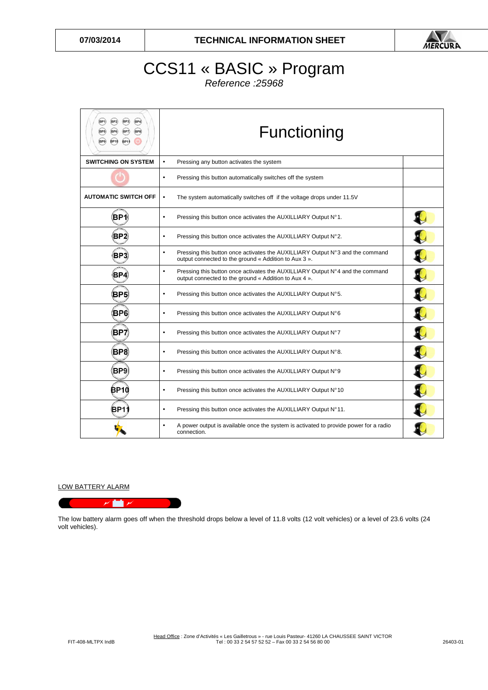

## CCS11 « BASIC » Program Reference :25968

| (BP2)<br>(BP3)<br>(BP4)<br>(BP1)<br>(BP6)<br>(BP7)<br>(BP8)<br>(BP5)<br><b>BP10</b><br><b>BP1</b><br>(BP9) | Functioning                                                                                                                                         |  |
|------------------------------------------------------------------------------------------------------------|-----------------------------------------------------------------------------------------------------------------------------------------------------|--|
| <b>SWITCHING ON SYSTEM</b>                                                                                 | $\bullet$<br>Pressing any button activates the system                                                                                               |  |
|                                                                                                            | Pressing this button automatically switches off the system<br>$\bullet$                                                                             |  |
| <b>AUTOMATIC SWITCH OFF</b>                                                                                | The system automatically switches off if the voltage drops under 11.5V<br>$\bullet$                                                                 |  |
| BP1                                                                                                        | $\bullet$<br>Pressing this button once activates the AUXILLIARY Output N°1.                                                                         |  |
| BP2)                                                                                                       | Pressing this button once activates the AUXILLIARY Output N°2.<br>$\bullet$                                                                         |  |
| ВРЗ                                                                                                        | Pressing this button once activates the AUXILLIARY Output N°3 and the command<br>$\bullet$<br>output connected to the ground « Addition to Aux 3 ». |  |
| BP4                                                                                                        | Pressing this button once activates the AUXILLIARY Output N°4 and the command<br>$\bullet$<br>output connected to the ground « Addition to Aux 4 ». |  |
| (BP5)                                                                                                      | Pressing this button once activates the AUXILLIARY Output N°5.<br>$\bullet$                                                                         |  |
| BP6                                                                                                        | Pressing this button once activates the AUXILLIARY Output N°6<br>$\bullet$                                                                          |  |
| BP7                                                                                                        | Pressing this button once activates the AUXILLIARY Output N°7<br>$\bullet$                                                                          |  |
| (BP8)                                                                                                      | Pressing this button once activates the AUXILLIARY Output N°8.<br>$\bullet$                                                                         |  |
| BP9)                                                                                                       | Pressing this button once activates the AUXILLIARY Output N°9<br>$\bullet$                                                                          |  |
| ₿P1Ò                                                                                                       | Pressing this button once activates the AUXILLIARY Output N°10<br>$\bullet$                                                                         |  |
| (BP1∶                                                                                                      | Pressing this button once activates the AUXILLIARY Output N°11.<br>$\bullet$                                                                        |  |
|                                                                                                            | A power output is available once the system is activated to provide power for a radio<br>$\bullet$<br>connection.                                   |  |

## LOW BATTERY ALARM

 $\overline{r}$  to  $\overline{r}$ 

The low battery alarm goes off when the threshold drops below a level of 11.8 volts (12 volt vehicles) or a level of 23.6 volts (24 volt vehicles).